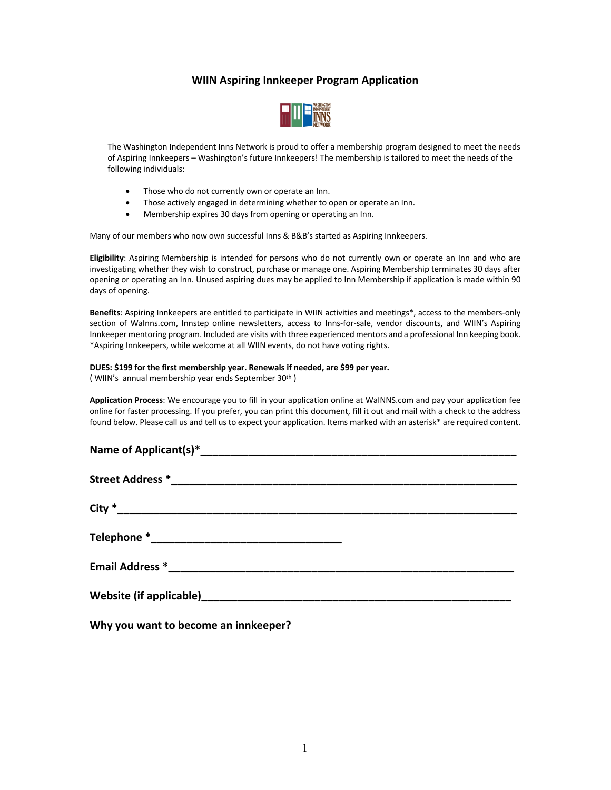## **WIIN Aspiring Innkeeper Program Application**



The Washington Independent Inns Network is proud to offer a membership program designed to meet the needs of Aspiring Innkeepers – Washington's future Innkeepers! The membership is tailored to meet the needs of the following individuals:

- Those who do not currently own or operate an Inn.
- Those actively engaged in determining whether to open or operate an Inn.
- Membership expires 30 days from opening or operating an Inn.

Many of our members who now own successful Inns & B&B's started as Aspiring Innkeepers.

**Eligibility**: Aspiring Membership is intended for persons who do not currently own or operate an Inn and who are investigating whether they wish to construct, purchase or manage one. Aspiring Membership terminates 30 days after opening or operating an Inn. Unused aspiring dues may be applied to Inn Membership if application is made within 90 days of opening.

**Benefits**: Aspiring Innkeepers are entitled to participate in WIIN activities and meetings\*, access to the members-only section of WaInns.com, Innstep online newsletters, access to Inns-for-sale, vendor discounts, and WIIN's Aspiring Innkeeper mentoring program. Included are visits with three experienced mentors and a professional Inn keeping book. \*Aspiring Innkeepers, while welcome at all WIIN events, do not have voting rights.

## **DUES: \$199 for the first membership year. Renewals if needed, are \$99 per year.**

( WIIN's annual membership year ends September 30th )

**Application Process**: We encourage you to fill in your application online at WaINNS.com and pay your application fee online for faster processing. If you prefer, you can print this document, fill it out and mail with a check to the address found below. Please call us and tell us to expect your application. Items marked with an asterisk\* are required content.

**Why you want to become an innkeeper?**